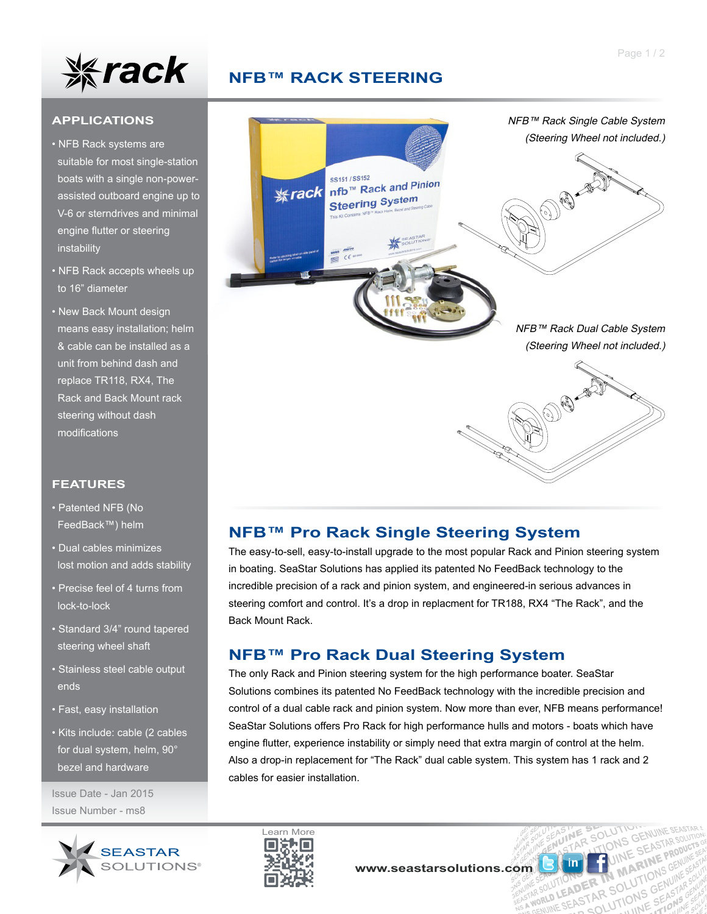

# **NFB™ RACK STEERING**

#### **APPLICATIONS**

- NFB Rack systems are suitable for most single-station boats with a single non-power assisted outboard engine up to V-6 or sterndrives and minimal engine flutter or steering instability
- NFB Rack accepts wheels up to 16" diameter
- New Back Mount design means easy installation; helm & cable can be installed as a unit from behind dash and replace TR118, RX4, The Rack and Back Mount rack steering without dash modifications

#### **FEATURES**

- Patented NFB (No FeedBack™) helm
- Dual cables minimizes lost motion and adds stability
- Precise feel of 4 turns from lock-to-lock
- Standard 3/4" round tapered steering wheel shaft
- Stainless steel cable output ends
- Fast, easy installation
- Kits include: cable (2 cables for dual system, helm, 90° bezel and hardware

Issue Date - Jan 2015 Issue Number - ms8





## **NFB™ Pro Rack Single Steering System**

The easy-to-sell, easy-to-install upgrade to the most popular Rack and Pinion steering system in boating. SeaStar Solutions has applied its patented No FeedBack technology to the incredible precision of a rack and pinion system, and engineered-in serious advances in steering comfort and control. It's a drop in replacment for TR188, RX4 "The Rack", and the Back Mount Rack.

## **NFB™ Pro Rack Dual Steering System**

The only Rack and Pinion steering system for the high performance boater. SeaStar Solutions combines its patented No FeedBack technology with the incredible precision and control of a dual cable rack and pinion system. Now more than ever, NFB means performance! SeaStar Solutions offers Pro Rack for high performance hulls and motors - boats which have engine flutter, experience instability or simply need that extra margin of control at the helm. Also a drop-in replacement for "The Rack" dual cable system. This system has 1 rack and 2 cables for easier installation.



**MA** 

N MANTIONS UNITE<br>2 SOLUTIONS GENUINE

UTION **DER IN MARKION**